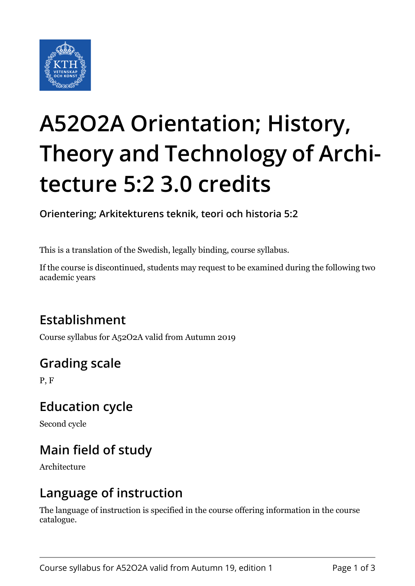

# **A52O2A Orientation; History, Theory and Technology of Architecture 5:2 3.0 credits**

**Orientering; Arkitekturens teknik, teori och historia 5:2**

This is a translation of the Swedish, legally binding, course syllabus.

If the course is discontinued, students may request to be examined during the following two academic years

## **Establishment**

Course syllabus for A52O2A valid from Autumn 2019

# **Grading scale**

P, F

## **Education cycle**

Second cycle

# **Main field of study**

Architecture

## **Language of instruction**

The language of instruction is specified in the course offering information in the course catalogue.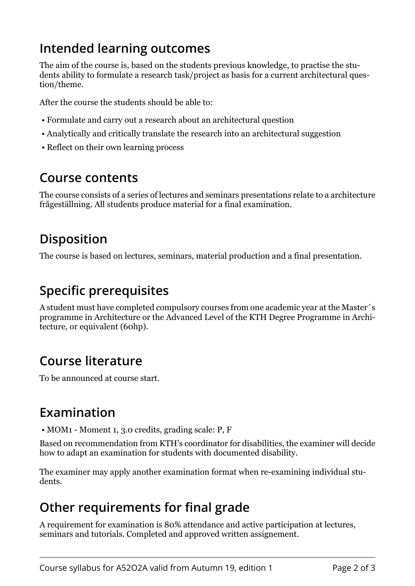## **Intended learning outcomes**

The aim of the course is, based on the students previous knowledge, to practise the students ability to formulate a research task/project as basis for a current architectural question/theme.

After the course the students should be able to:

- Formulate and carry out a research about an architectural question
- Analytically and critically translate the research into an architectural suggestion
- Reflect on their own learning process

#### **Course contents**

The course consists of a series of lectures and seminars presentations relate to a architecture frågeställning. All students produce material for a final examination.

## **Disposition**

The course is based on lectures, seminars, material production and a final presentation.

## **Specific prerequisites**

A student must have completed compulsory courses from one academic year at the Master´s programme in Architecture or the Advanced Level of the KTH Degree Programme in Architecture, or equivalent (60hp).

## **Course literature**

To be announced at course start.

## **Examination**

• MOM1 - Moment 1, 3.0 credits, grading scale: P, F

Based on recommendation from KTH's coordinator for disabilities, the examiner will decide how to adapt an examination for students with documented disability.

The examiner may apply another examination format when re-examining individual students.

## **Other requirements for final grade**

A requirement for examination is 80% attendance and active participation at lectures, seminars and tutorials. Completed and approved written assignement.